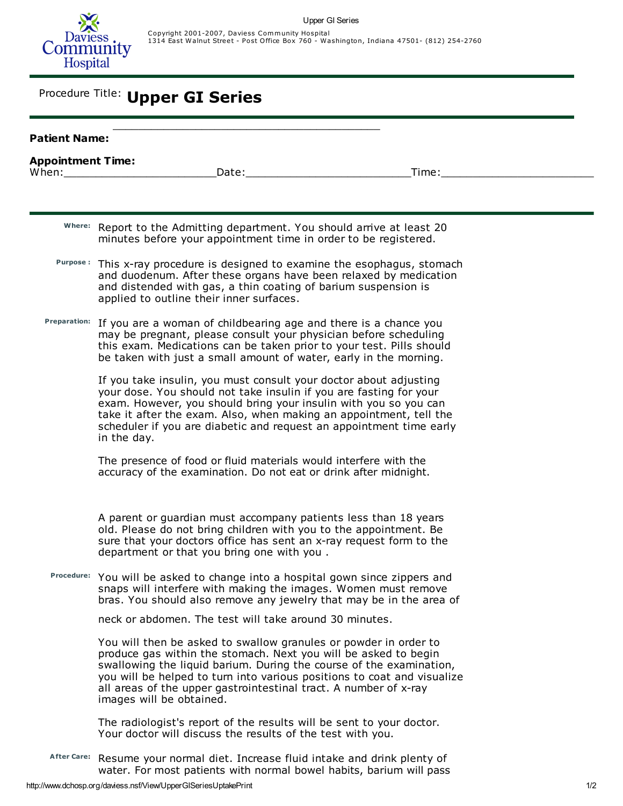

## Procedure Title: Upper GI Series

| <b>Patient Name:</b>     |                                                                                                                                                                                                                                                                                                                                                                                       |
|--------------------------|---------------------------------------------------------------------------------------------------------------------------------------------------------------------------------------------------------------------------------------------------------------------------------------------------------------------------------------------------------------------------------------|
| <b>Appointment Time:</b> | Date:<br>When:<br>Time:                                                                                                                                                                                                                                                                                                                                                               |
|                          |                                                                                                                                                                                                                                                                                                                                                                                       |
|                          | Where: Report to the Admitting department. You should arrive at least 20<br>minutes before your appointment time in order to be registered.                                                                                                                                                                                                                                           |
|                          | Purpose: This x-ray procedure is designed to examine the esophagus, stomach<br>and duodenum. After these organs have been relaxed by medication<br>and distended with gas, a thin coating of barium suspension is<br>applied to outline their inner surfaces.                                                                                                                         |
|                          | Preparation: If you are a woman of childbearing age and there is a chance you<br>may be pregnant, please consult your physician before scheduling<br>this exam. Medications can be taken prior to your test. Pills should<br>be taken with just a small amount of water, early in the morning.                                                                                        |
|                          | If you take insulin, you must consult your doctor about adjusting<br>your dose. You should not take insulin if you are fasting for your<br>exam. However, you should bring your insulin with you so you can<br>take it after the exam. Also, when making an appointment, tell the<br>scheduler if you are diabetic and request an appointment time early<br>in the day.               |
|                          | The presence of food or fluid materials would interfere with the<br>accuracy of the examination. Do not eat or drink after midnight.                                                                                                                                                                                                                                                  |
|                          | A parent or guardian must accompany patients less than 18 years<br>old. Please do not bring children with you to the appointment. Be<br>sure that your doctors office has sent an x-ray request form to the<br>department or that you bring one with you.                                                                                                                             |
|                          | Procedure: You will be asked to change into a hospital gown since zippers and<br>snaps will interfere with making the images. Women must remove<br>bras. You should also remove any jewelry that may be in the area of                                                                                                                                                                |
|                          | neck or abdomen. The test will take around 30 minutes.                                                                                                                                                                                                                                                                                                                                |
|                          | You will then be asked to swallow granules or powder in order to<br>produce gas within the stomach. Next you will be asked to begin<br>swallowing the liquid barium. During the course of the examination,<br>you will be helped to turn into various positions to coat and visualize<br>all areas of the upper gastrointestinal tract. A number of x-ray<br>images will be obtained. |
|                          | The radiologist's report of the results will be sent to your doctor.<br>Your doctor will discuss the results of the test with you.                                                                                                                                                                                                                                                    |
| <b>After Care:</b>       | Resume your normal diet. Increase fluid intake and drink plenty of<br>water. For most patients with normal bowel habits, barium will pass                                                                                                                                                                                                                                             |